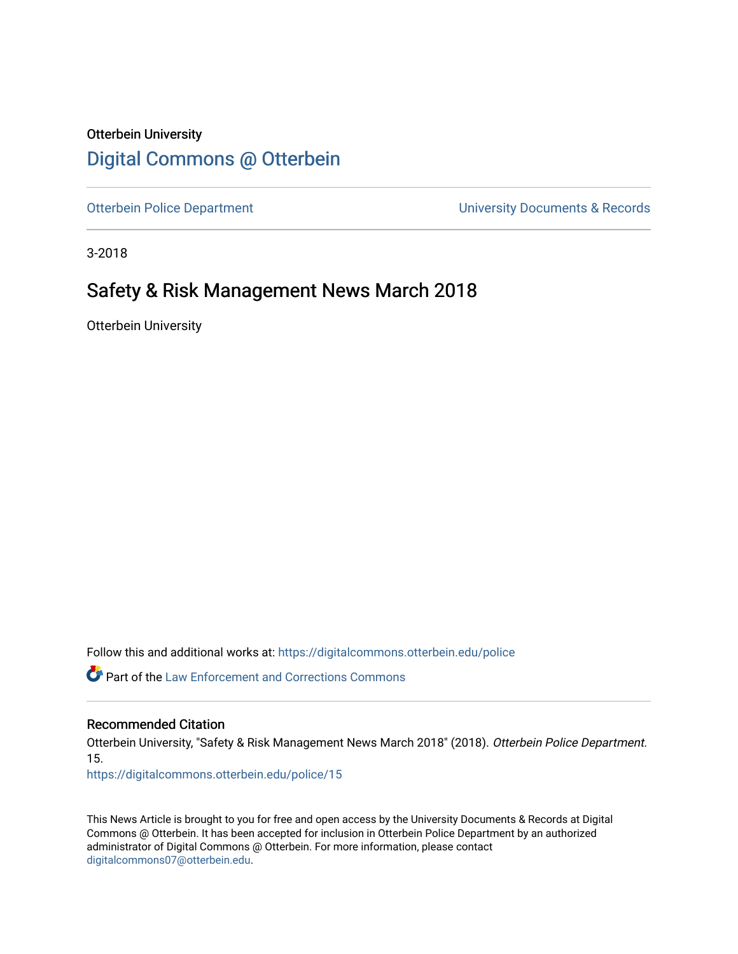### Otterbein University [Digital Commons @ Otterbein](https://digitalcommons.otterbein.edu/)

[Otterbein Police Department](https://digitalcommons.otterbein.edu/police) Controller Controller University Documents & Records

3-2018

### Safety & Risk Management News March 2018

Otterbein University

Follow this and additional works at: [https://digitalcommons.otterbein.edu/police](https://digitalcommons.otterbein.edu/police?utm_source=digitalcommons.otterbein.edu%2Fpolice%2F15&utm_medium=PDF&utm_campaign=PDFCoverPages) 

**C** Part of the Law Enforcement and Corrections Commons

### Recommended Citation

Otterbein University, "Safety & Risk Management News March 2018" (2018). Otterbein Police Department. 15.

[https://digitalcommons.otterbein.edu/police/15](https://digitalcommons.otterbein.edu/police/15?utm_source=digitalcommons.otterbein.edu%2Fpolice%2F15&utm_medium=PDF&utm_campaign=PDFCoverPages) 

This News Article is brought to you for free and open access by the University Documents & Records at Digital Commons @ Otterbein. It has been accepted for inclusion in Otterbein Police Department by an authorized administrator of Digital Commons @ Otterbein. For more information, please contact [digitalcommons07@otterbein.edu](mailto:digitalcommons07@otterbein.edu).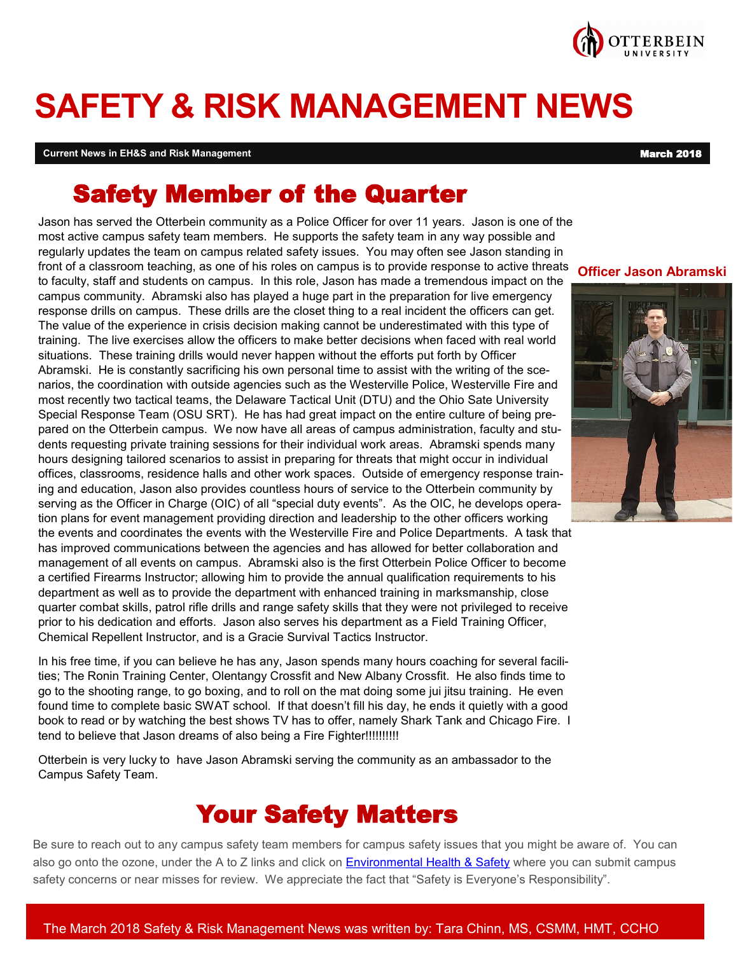

# **SAFETY & RISK MANAGEMENT NEWS**

**Current News in EH&S and Risk Management** March 2018 **March 2018** 

# Safety Member of the Quarter

Jason has served the Otterbein community as a Police Officer for over 11 years. Jason is one of the most active campus safety team members. He supports the safety team in any way possible and regularly updates the team on campus related safety issues. You may often see Jason standing in front of a classroom teaching, as one of his roles on campus is to provide response to active threats to faculty, staff and students on campus. In this role, Jason has made a tremendous impact on the campus community. Abramski also has played a huge part in the preparation for live emergency response drills on campus. These drills are the closet thing to a real incident the officers can get. The value of the experience in crisis decision making cannot be underestimated with this type of training. The live exercises allow the officers to make better decisions when faced with real world situations. These training drills would never happen without the efforts put forth by Officer Abramski. He is constantly sacrificing his own personal time to assist with the writing of the scenarios, the coordination with outside agencies such as the Westerville Police, Westerville Fire and most recently two tactical teams, the Delaware Tactical Unit (DTU) and the Ohio Sate University Special Response Team (OSU SRT). He has had great impact on the entire culture of being prepared on the Otterbein campus. We now have all areas of campus administration, faculty and students requesting private training sessions for their individual work areas. Abramski spends many hours designing tailored scenarios to assist in preparing for threats that might occur in individual offices, classrooms, residence halls and other work spaces. Outside of emergency response training and education, Jason also provides countless hours of service to the Otterbein community by serving as the Officer in Charge (OIC) of all "special duty events". As the OIC, he develops operation plans for event management providing direction and leadership to the other officers working the events and coordinates the events with the Westerville Fire and Police Departments. A task that has improved communications between the agencies and has allowed for better collaboration and management of all events on campus. Abramski also is the first Otterbein Police Officer to become a certified Firearms Instructor; allowing him to provide the annual qualification requirements to his department as well as to provide the department with enhanced training in marksmanship, close quarter combat skills, patrol rifle drills and range safety skills that they were not privileged to receive prior to his dedication and efforts. Jason also serves his department as a Field Training Officer, Chemical Repellent Instructor, and is a Gracie Survival Tactics Instructor. **Officer Jason Abramski**

In his free time, if you can believe he has any, Jason spends many hours coaching for several facilities; The Ronin Training Center, Olentangy Crossfit and New Albany Crossfit. He also finds time to go to the shooting range, to go boxing, and to roll on the mat doing some jui jitsu training. He even found time to complete basic SWAT school. If that doesn't fill his day, he ends it quietly with a good book to read or by watching the best shows TV has to offer, namely Shark Tank and Chicago Fire. I tend to believe that Jason dreams of also being a Fire Fighter!!!!!!!!!!!

Otterbein is very lucky to have Jason Abramski serving the community as an ambassador to the Campus Safety Team.

# Your Safety Matters

Be sure to reach out to any campus safety team members for campus safety issues that you might be aware of. You can also go onto the ozone, under the A to Z links and click on [Environmental Health & Safety](http://www.otterbein.edu/intranet/ESH.aspx) where you can submit campus safety concerns or near misses for review. We appreciate the fact that "Safety is Everyone's Responsibility".